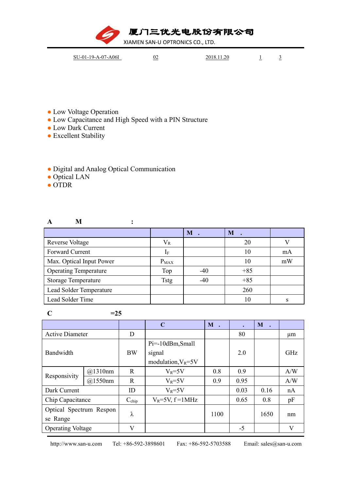厦门三优光电股份有限公司

XIAMEN SAN-U OPTRONICS CO., LTD.

| SU-01-19-A-07-A06I | 02 | 2018.11.20 |                          |  |
|--------------------|----|------------|--------------------------|--|
|                    |    |            | $\overline{\phantom{a}}$ |  |

- Low Voltage Operation
- Low Capacitance and High Speed with a PIN Structure

**A M :**

- Low Dark Current
- Excellent Stability

## ● Digital and Analog Optical Communication

- Optical LAN
- OTDR

|                              |                | $M$ . | M     |    |
|------------------------------|----------------|-------|-------|----|
| <b>Reverse Voltage</b>       | $\rm V_R$      |       | 20    |    |
| Forward Current              | 1 <sub>F</sub> |       | 10    | mA |
| Max. Optical Input Power     | $P_{MAX}$      |       | 10    | mW |
| <b>Operating Temperature</b> | Top            | $-40$ | $+85$ |    |
| <b>Storage Temperature</b>   | Tstg           | $-40$ | $+85$ |    |
| Lead Solder Temperature      |                |       | 260   |    |
| Lead Solder Time             |                |       | 10    |    |

 $C = 25$ 

|                          |         |                   | $\mathbf C$            | M .  | $\bullet$ | M    |         |
|--------------------------|---------|-------------------|------------------------|------|-----------|------|---------|
| <b>Active Diameter</b>   |         | D                 |                        |      | 80        |      | $\mu$ m |
| Bandwidth                |         |                   | Pi=-10dBm,Small        |      |           |      |         |
|                          |         | <b>BW</b>         | signal                 |      | 2.0       |      | GHz     |
|                          |         |                   | modulation, $V_R = 5V$ |      |           |      |         |
| Responsivity             | @1310nm | $\mathbf R$       | $V_R = 5V$             | 0.8  | 0.9       |      | A/W     |
|                          | @1550nm | $\mathbf R$       | $V_R = 5V$             | 0.9  | 0.95      |      | A/W     |
| Dark Current             |         | ID                | $V_R = 5V$             |      | 0.03      | 0.16 | nA      |
| Chip Capacitance         |         | $C_{\text{chip}}$ | $V_R = 5V$ , f = 1 MHz |      | 0.65      | 0.8  | pF      |
| Optical Spectrum Respon  |         |                   |                        |      |           | 1650 |         |
| se Range                 |         | λ                 |                        | 1100 |           |      | nm      |
| <b>Operating Voltage</b> |         | V                 |                        |      | $-5$      |      | V       |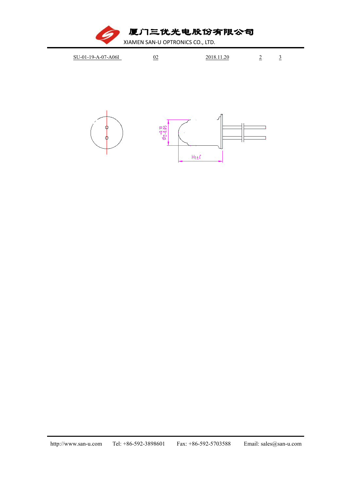厦门三优光电股份有限公司

XIAMEN SAN-U OPTRONICS CO., LTD.